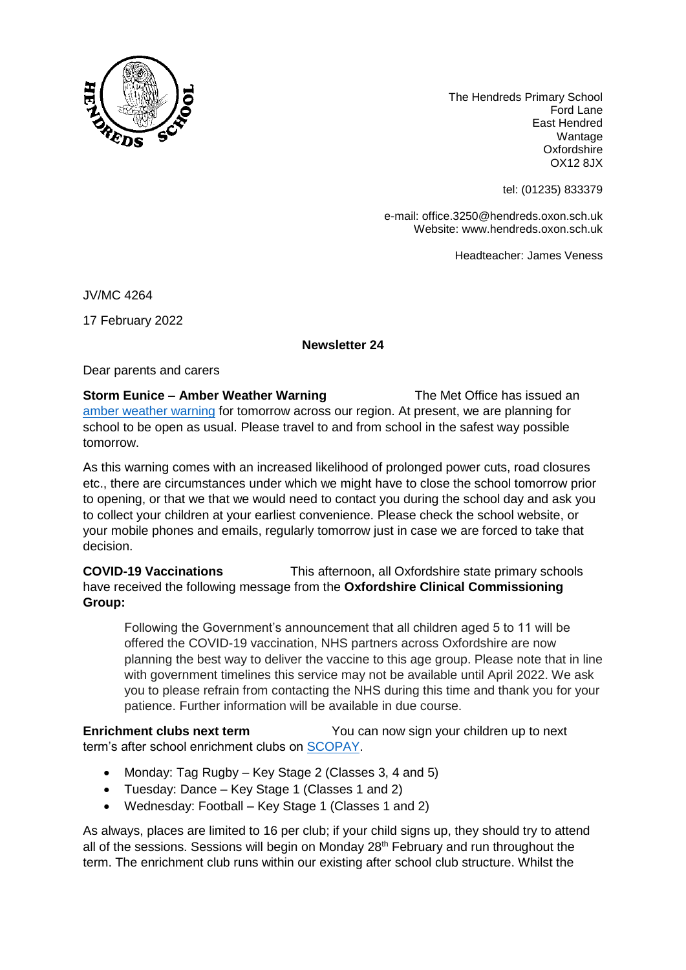

The Hendreds Primary School Ford Lane East Hendred Wantage **Oxfordshire** OX12 8JX

tel: (01235) 833379

e-mail: office.3250@hendreds.oxon.sch.uk Website: www.hendreds.oxon.sch.uk

Headteacher: James Veness

JV/MC 4264

17 February 2022

## **Newsletter 24**

Dear parents and carers

**Storm Eunice – Amber Weather Warning The Met Office has issued an** [amber weather warning](https://www.metoffice.gov.uk/weather/warnings-and-advice/uk-warnings#?id=cee3e4f8-3600-41ac-bfad-d0c8bf834829&date=2022-02-18) for tomorrow across our region. At present, we are planning for school to be open as usual. Please travel to and from school in the safest way possible tomorrow.

As this warning comes with an increased likelihood of prolonged power cuts, road closures etc., there are circumstances under which we might have to close the school tomorrow prior to opening, or that we that we would need to contact you during the school day and ask you to collect your children at your earliest convenience. Please check the school website, or your mobile phones and emails, regularly tomorrow just in case we are forced to take that decision.

**COVID-19 Vaccinations** This afternoon, all Oxfordshire state primary schools have received the following message from the **Oxfordshire Clinical Commissioning Group:** 

Following the Government's announcement that all children aged 5 to 11 will be offered the COVID-19 vaccination, NHS partners across Oxfordshire are now planning the best way to deliver the vaccine to this age group. Please note that in line with government timelines this service may not be available until April 2022. We ask you to please refrain from contacting the NHS during this time and thank you for your patience. Further information will be available in due course.

**Enrichment clubs next term** You can now sign your children up to next term's after school enrichment clubs on **SCOPAY**.

- Monday: Tag Rugby Key Stage 2 (Classes 3, 4 and 5)
- Tuesday: Dance Key Stage 1 (Classes 1 and 2)
- Wednesday: Football Key Stage 1 (Classes 1 and 2)

As always, places are limited to 16 per club; if your child signs up, they should try to attend all of the sessions. Sessions will begin on Monday 28<sup>th</sup> February and run throughout the term. The enrichment club runs within our existing after school club structure. Whilst the